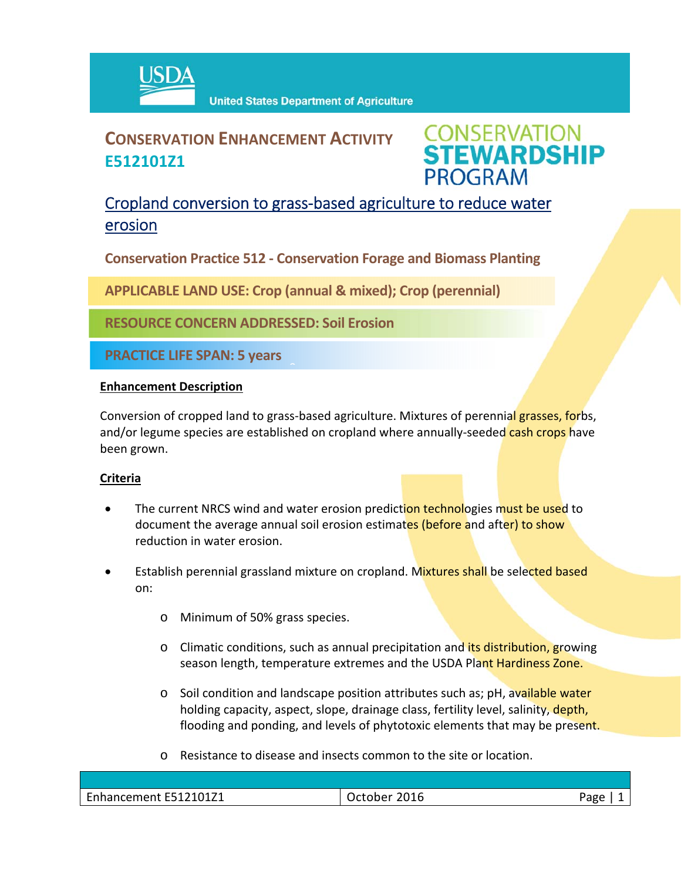

# **CONSERVATION ENHANCEMENT ACTIVITY E512101Z1**



## Cropland conversion to grass‐based agriculture to reduce water erosion

**Conservation Practice 512 ‐ Conservation Forage and Biomass Planting**

**APPLICABLE LAND USE: Crop (annual & mixed); Crop (perennial)**

 $\hat{a}$ 

**RESOURCE CONCERN ADDRESSED: Soil Erosion** 

**PRACTICE LIFE SPAN: 5 years**

#### **Enhancement Description**

Conversion of cropped land to grass-based agriculture. Mixtures of perennial grasses, forbs, and/or legume species are established on cropland where annually-seeded cash crops have been grown.

### **Criteria**

- The current NRCS wind and water erosion prediction technologies must be used to document the average annual soil erosion estimates (before and after) to show reduction in water erosion.
- Establish perennial grassland mixture on cropland. Mixtures shall be selected based on:
	- o Minimum of 50% grass species.
	- o Climatic conditions, such as annual precipitation and its distribution, growing season length, temperature extremes and the USDA Plant Hardiness Zone.
	- o Soil condition and landscape position attributes such as; pH, available water holding capacity, aspect, slope, drainage class, fertility level, salinity, depth, flooding and ponding, and levels of phytotoxic elements that may be present.
	- o Resistance to disease and insects common to the site or location.

| $\mathbf{r}$<br>0171<br>— 1<br>--<br>ын етнеш<br>. | $\sim$ $\sim$<br>____ | . den<br>۰. |
|----------------------------------------------------|-----------------------|-------------|